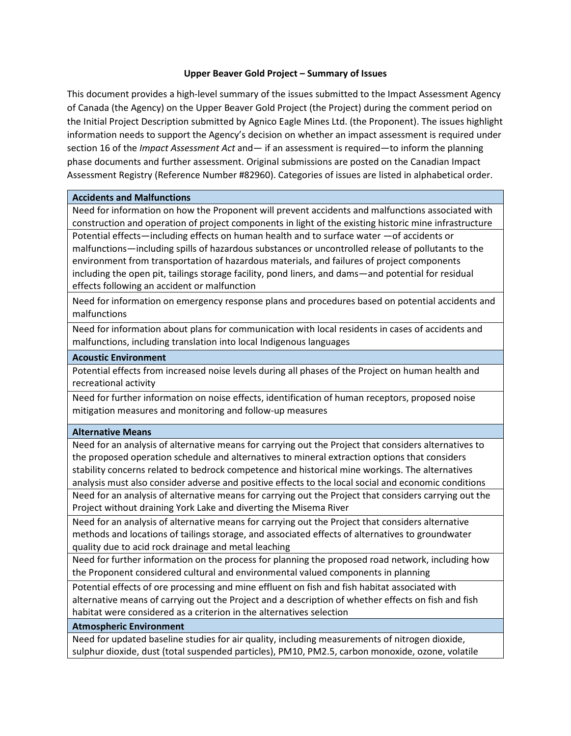## **Upper Beaver Gold Project – Summary of Issues**

This document provides a high-level summary of the issues submitted to the Impact Assessment Agency of Canada (the Agency) on the Upper Beaver Gold Project (the Project) during the comment period on the Initial Project Description submitted by Agnico Eagle Mines Ltd. (the Proponent). The issues highlight information needs to support the Agency's decision on whether an impact assessment is required under section 16 of the *Impact Assessment Act* and— if an assessment is required—to inform the planning phase documents and further assessment. Original submissions are posted on the Canadian Impact Assessment Registry (Reference Number #82960). Categories of issues are listed in alphabetical order.

#### **Accidents and Malfunctions**

Need for information on how the Proponent will prevent accidents and malfunctions associated with construction and operation of project components in light of the existing historic mine infrastructure Potential effects—including effects on human health and to surface water —of accidents or malfunctions—including spills of hazardous substances or uncontrolled release of pollutants to the environment from transportation of hazardous materials, and failures of project components including the open pit, tailings storage facility, pond liners, and dams—and potential for residual effects following an accident or malfunction

Need for information on emergency response plans and procedures based on potential accidents and malfunctions

Need for information about plans for communication with local residents in cases of accidents and malfunctions, including translation into local Indigenous languages

#### **Acoustic Environment**

Potential effects from increased noise levels during all phases of the Project on human health and recreational activity

Need for further information on noise effects, identification of human receptors, proposed noise mitigation measures and monitoring and follow-up measures

#### **Alternative Means**

Need for an analysis of alternative means for carrying out the Project that considers alternatives to the proposed operation schedule and alternatives to mineral extraction options that considers stability concerns related to bedrock competence and historical mine workings. The alternatives analysis must also consider adverse and positive effects to the local social and economic conditions Need for an analysis of alternative means for carrying out the Project that considers carrying out the Project without draining York Lake and diverting the Misema River

Need for an analysis of alternative means for carrying out the Project that considers alternative methods and locations of tailings storage, and associated effects of alternatives to groundwater quality due to acid rock drainage and metal leaching

Need for further information on the process for planning the proposed road network, including how the Proponent considered cultural and environmental valued components in planning

Potential effects of ore processing and mine effluent on fish and fish habitat associated with alternative means of carrying out the Project and a description of whether effects on fish and fish habitat were considered as a criterion in the alternatives selection

#### **Atmospheric Environment**

Need for updated baseline studies for air quality, including measurements of nitrogen dioxide, sulphur dioxide, dust (total suspended particles), PM10, PM2.5, carbon monoxide, ozone, volatile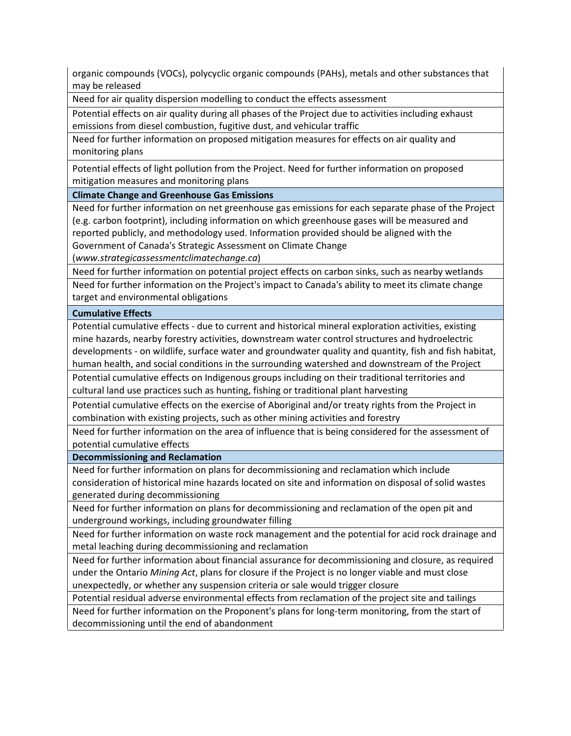organic compounds (VOCs), polycyclic organic compounds (PAHs), metals and other substances that may be released

Need for air quality dispersion modelling to conduct the effects assessment

Potential effects on air quality during all phases of the Project due to activities including exhaust emissions from diesel combustion, fugitive dust, and vehicular traffic

Need for further information on proposed mitigation measures for effects on air quality and monitoring plans

Potential effects of light pollution from the Project. Need for further information on proposed mitigation measures and monitoring plans

**Climate Change and Greenhouse Gas Emissions** 

Need for further information on net greenhouse gas emissions for each separate phase of the Project (e.g. carbon footprint), including information on which greenhouse gases will be measured and reported publicly, and methodology used. Information provided should be aligned with the Government of Canada's Strategic Assessment on Climate Change

(*[www.strategicassessmentclimatechange.ca](http://www.strategicassessmentclimatechange.ca/)*)

Need for further information on potential project effects on carbon sinks, such as nearby wetlands

Need for further information on the Project's impact to Canada's ability to meet its climate change target and environmental obligations

**Cumulative Effects** 

Potential cumulative effects - due to current and historical mineral exploration activities, existing mine hazards, nearby forestry activities, downstream water control structures and hydroelectric developments - on wildlife, surface water and groundwater quality and quantity, fish and fish habitat, human health, and social conditions in the surrounding watershed and downstream of the Project

Potential cumulative effects on Indigenous groups including on their traditional territories and cultural land use practices such as hunting, fishing or traditional plant harvesting

Potential cumulative effects on the exercise of Aboriginal and/or treaty rights from the Project in combination with existing projects, such as other mining activities and forestry

Need for further information on the area of influence that is being considered for the assessment of potential cumulative effects

**Decommissioning and Reclamation** 

Need for further information on plans for decommissioning and reclamation which include consideration of historical mine hazards located on site and information on disposal of solid wastes generated during decommissioning

Need for further information on plans for decommissioning and reclamation of the open pit and underground workings, including groundwater filling

Need for further information on waste rock management and the potential for acid rock drainage and metal leaching during decommissioning and reclamation

Need for further information about financial assurance for decommissioning and closure, as required under the Ontario *Mining Act*, plans for closure if the Project is no longer viable and must close unexpectedly, or whether any suspension criteria or sale would trigger closure

Potential residual adverse environmental effects from reclamation of the project site and tailings

Need for further information on the Proponent's plans for long-term monitoring, from the start of decommissioning until the end of abandonment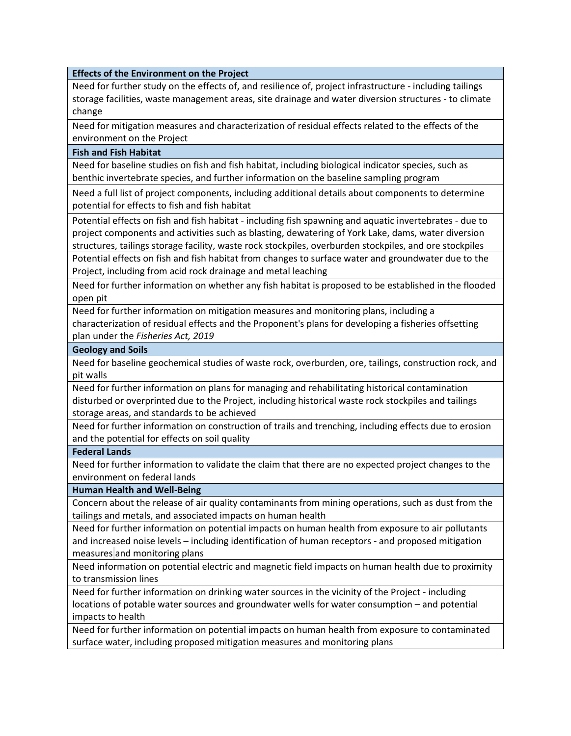## **Effects of the Environment on the Project**

Need for further study on the effects of, and resilience of, project infrastructure - including tailings storage facilities, waste management areas, site drainage and water diversion structures - to climate change

Need for mitigation measures and characterization of residual effects related to the effects of the environment on the Project

## **Fish and Fish Habitat**

Need for baseline studies on fish and fish habitat, including biological indicator species, such as benthic invertebrate species, and further information on the baseline sampling program

Need a full list of project components, including additional details about components to determine potential for effects to fish and fish habitat

Potential effects on fish and fish habitat - including fish spawning and aquatic invertebrates - due to project components and activities such as blasting, dewatering of York Lake, dams, water diversion structures, tailings storage facility, waste rock stockpiles, overburden stockpiles, and ore stockpiles

Potential effects on fish and fish habitat from changes to surface water and groundwater due to the Project, including from acid rock drainage and metal leaching

Need for further information on whether any fish habitat is proposed to be established in the flooded open pit

Need for further information on mitigation measures and monitoring plans, including a

characterization of residual effects and the Proponent's plans for developing a fisheries offsetting plan under the *Fisheries Act, 2019*

## **Geology and Soils**

Need for baseline geochemical studies of waste rock, overburden, ore, tailings, construction rock, and pit walls

Need for further information on plans for managing and rehabilitating historical contamination disturbed or overprinted due to the Project, including historical waste rock stockpiles and tailings storage areas, and standards to be achieved

Need for further information on construction of trails and trenching, including effects due to erosion and the potential for effects on soil quality

#### **Federal Lands**

Need for further information to validate the claim that there are no expected project changes to the environment on federal lands

# **Human Health and Well-Being**

Concern about the release of air quality contaminants from mining operations, such as dust from the tailings and metals, and associated impacts on human health

Need for further information on potential impacts on human health from exposure to air pollutants and increased noise levels – including identification of human receptors - and proposed mitigation measures and monitoring plans

Need information on potential electric and magnetic field impacts on human health due to proximity to transmission lines

Need for further information on drinking water sources in the vicinity of the Project - including locations of potable water sources and groundwater wells for water consumption – and potential impacts to health

Need for further information on potential impacts on human health from exposure to contaminated surface water, including proposed mitigation measures and monitoring plans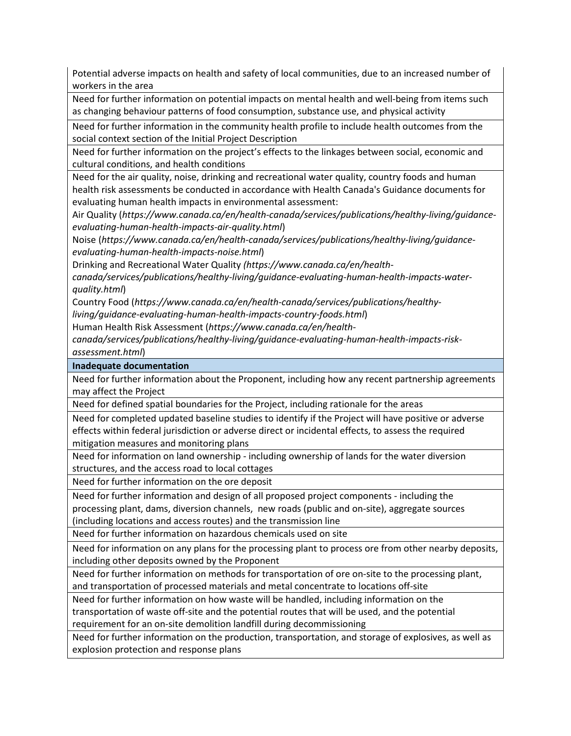Potential adverse impacts on health and safety of local communities, due to an increased number of workers in the area

Need for further information on potential impacts on mental health and well-being from items such as changing behaviour patterns of food consumption, substance use, and physical activity

Need for further information in the community health profile to include health outcomes from the social context section of the Initial Project Description

Need for further information on the project's effects to the linkages between social, economic and cultural conditions, and health conditions

Need for the air quality, noise, drinking and recreational water quality, country foods and human health risk assessments be conducted in accordance with Health Canada's Guidance documents for evaluating human health impacts in environmental assessment:

Air Quality (*https://www.canada.ca/en/health-canada/services/publications/healthy-living/guidanceevaluating-human-health-impacts-air-quality.html*)

Noise (*https://www.canada.ca/en/health-canada/services/publications/healthy-living/guidanceevaluating-human-health-impacts-noise.html*)

Drinking and Recreational Water Quality *(https://www.canada.ca/en/health-*

*canada/services/publications/healthy-living/guidance-evaluating-human-health-impacts-waterquality.html*)

Country Food (*https://www.canada.ca/en/health-canada/services/publications/healthy-*

*living/guidance-evaluating-human-health-impacts-country-foods.html*)

Human Health Risk Assessment (*https://www.canada.ca/en/health-*

*canada/services/publications/healthy-living/guidance-evaluating-human-health-impacts-riskassessment.html*)

**Inadequate documentation** 

Need for further information about the Proponent, including how any recent partnership agreements may affect the Project

Need for defined spatial boundaries for the Project, including rationale for the areas

Need for completed updated baseline studies to identify if the Project will have positive or adverse effects within federal jurisdiction or adverse direct or incidental effects, to assess the required mitigation measures and monitoring plans

Need for information on land ownership - including ownership of lands for the water diversion structures, and the access road to local cottages

Need for further information on the ore deposit

Need for further information and design of all proposed project components - including the processing plant, dams, diversion channels, new roads (public and on-site), aggregate sources (including locations and access routes) and the transmission line

Need for further information on hazardous chemicals used on site

Need for information on any plans for the processing plant to process ore from other nearby deposits, including other deposits owned by the Proponent

Need for further information on methods for transportation of ore on-site to the processing plant, and transportation of processed materials and metal concentrate to locations off-site

Need for further information on how waste will be handled, including information on the transportation of waste off-site and the potential routes that will be used, and the potential requirement for an on-site demolition landfill during decommissioning

Need for further information on the production, transportation, and storage of explosives, as well as explosion protection and response plans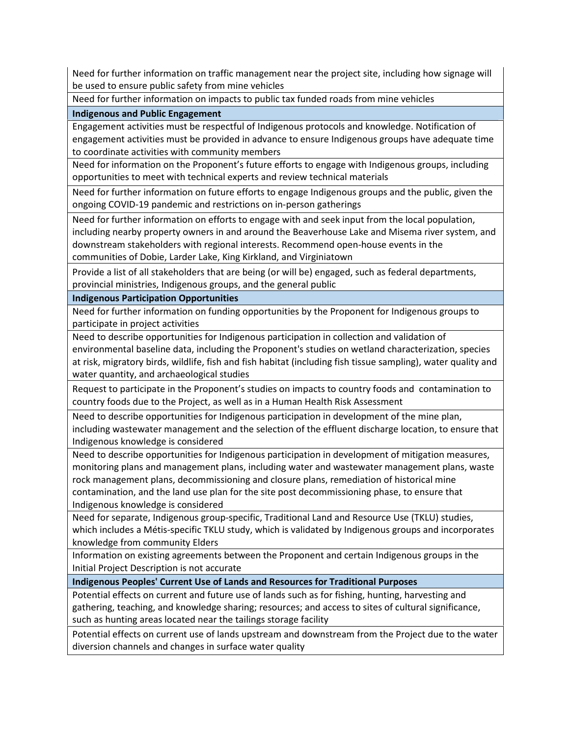Need for further information on traffic management near the project site, including how signage will be used to ensure public safety from mine vehicles

Need for further information on impacts to public tax funded roads from mine vehicles

**Indigenous and Public Engagement** 

Engagement activities must be respectful of Indigenous protocols and knowledge. Notification of engagement activities must be provided in advance to ensure Indigenous groups have adequate time to coordinate activities with community members

Need for information on the Proponent's future efforts to engage with Indigenous groups, including opportunities to meet with technical experts and review technical materials

Need for further information on future efforts to engage Indigenous groups and the public, given the ongoing COVID-19 pandemic and restrictions on in-person gatherings

Need for further information on efforts to engage with and seek input from the local population, including nearby property owners in and around the Beaverhouse Lake and Misema river system, and downstream stakeholders with regional interests. Recommend open-house events in the communities of Dobie, Larder Lake, King Kirkland, and Virginiatown

Provide a list of all stakeholders that are being (or will be) engaged, such as federal departments, provincial ministries, Indigenous groups, and the general public

**Indigenous Participation Opportunities** 

Need for further information on funding opportunities by the Proponent for Indigenous groups to participate in project activities

Need to describe opportunities for Indigenous participation in collection and validation of environmental baseline data, including the Proponent's studies on wetland characterization, species at risk, migratory birds, wildlife, fish and fish habitat (including fish tissue sampling), water quality and water quantity, and archaeological studies

Request to participate in the Proponent's studies on impacts to country foods and contamination to country foods due to the Project, as well as in a Human Health Risk Assessment

Need to describe opportunities for Indigenous participation in development of the mine plan, including wastewater management and the selection of the effluent discharge location, to ensure that Indigenous knowledge is considered

Need to describe opportunities for Indigenous participation in development of mitigation measures, monitoring plans and management plans, including water and wastewater management plans, waste rock management plans, decommissioning and closure plans, remediation of historical mine contamination, and the land use plan for the site post decommissioning phase, to ensure that Indigenous knowledge is considered

Need for separate, Indigenous group-specific, Traditional Land and Resource Use (TKLU) studies, which includes a Métis-specific TKLU study, which is validated by Indigenous groups and incorporates knowledge from community Elders

Information on existing agreements between the Proponent and certain Indigenous groups in the Initial Project Description is not accurate

**Indigenous Peoples' Current Use of Lands and Resources for Traditional Purposes** 

Potential effects on current and future use of lands such as for fishing, hunting, harvesting and gathering, teaching, and knowledge sharing; resources; and access to sites of cultural significance, such as hunting areas located near the tailings storage facility

Potential effects on current use of lands upstream and downstream from the Project due to the water diversion channels and changes in surface water quality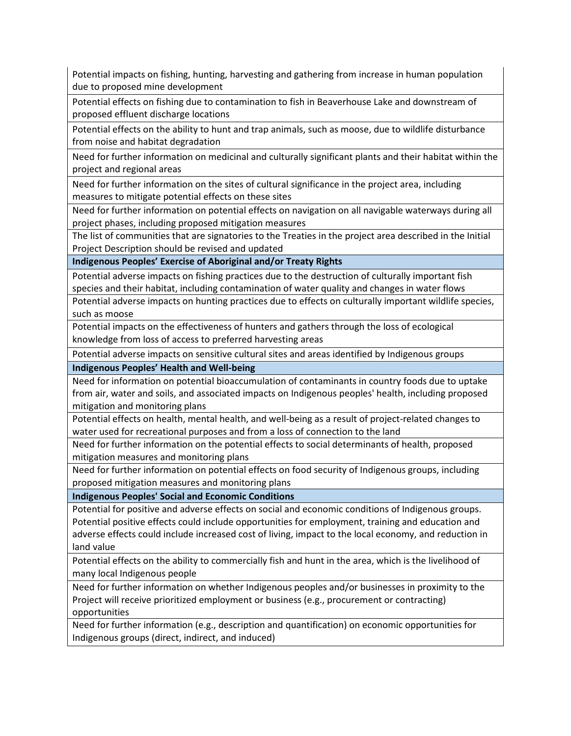Potential impacts on fishing, hunting, harvesting and gathering from increase in human population due to proposed mine development

Potential effects on fishing due to contamination to fish in Beaverhouse Lake and downstream of proposed effluent discharge locations

Potential effects on the ability to hunt and trap animals, such as moose, due to wildlife disturbance from noise and habitat degradation

Need for further information on medicinal and culturally significant plants and their habitat within the project and regional areas

Need for further information on the sites of cultural significance in the project area, including measures to mitigate potential effects on these sites

Need for further information on potential effects on navigation on all navigable waterways during all project phases, including proposed mitigation measures

The list of communities that are signatories to the Treaties in the project area described in the Initial Project Description should be revised and updated

**Indigenous Peoples' Exercise of Aboriginal and/or Treaty Rights** 

Potential adverse impacts on fishing practices due to the destruction of culturally important fish species and their habitat, including contamination of water quality and changes in water flows

Potential adverse impacts on hunting practices due to effects on culturally important wildlife species, such as moose

Potential impacts on the effectiveness of hunters and gathers through the loss of ecological knowledge from loss of access to preferred harvesting areas

Potential adverse impacts on sensitive cultural sites and areas identified by Indigenous groups

**Indigenous Peoples' Health and Well-being**

Need for information on potential bioaccumulation of contaminants in country foods due to uptake from air, water and soils, and associated impacts on Indigenous peoples' health, including proposed mitigation and monitoring plans

Potential effects on health, mental health, and well-being as a result of project-related changes to water used for recreational purposes and from a loss of connection to the land

Need for further information on the potential effects to social determinants of health, proposed mitigation measures and monitoring plans

Need for further information on potential effects on food security of Indigenous groups, including proposed mitigation measures and monitoring plans

**Indigenous Peoples' Social and Economic Conditions** 

Potential for positive and adverse effects on social and economic conditions of Indigenous groups. Potential positive effects could include opportunities for employment, training and education and adverse effects could include increased cost of living, impact to the local economy, and reduction in land value

Potential effects on the ability to commercially fish and hunt in the area, which is the livelihood of many local Indigenous people

Need for further information on whether Indigenous peoples and/or businesses in proximity to the Project will receive prioritized employment or business (e.g., procurement or contracting) opportunities

Need for further information (e.g., description and quantification) on economic opportunities for Indigenous groups (direct, indirect, and induced)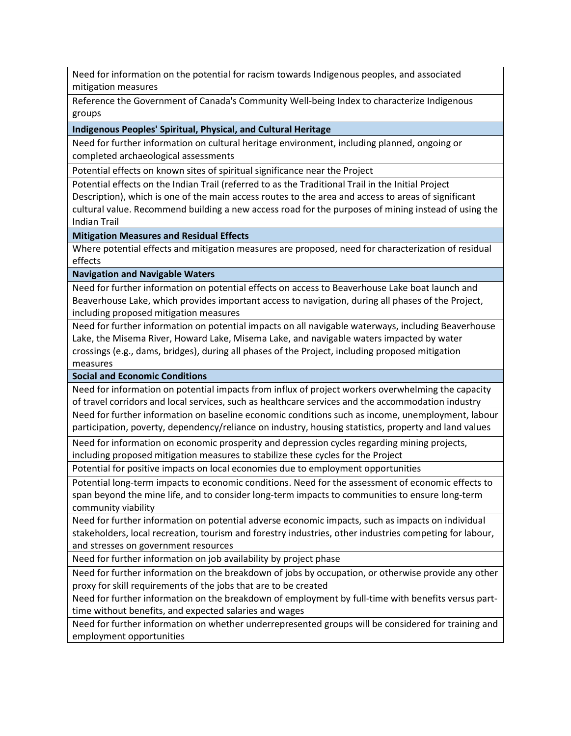Need for information on the potential for racism towards Indigenous peoples, and associated mitigation measures

Reference the Government of Canada's Community Well-being Index to characterize Indigenous groups

**Indigenous Peoples' Spiritual, Physical, and Cultural Heritage** 

Need for further information on cultural heritage environment, including planned, ongoing or completed archaeological assessments

Potential effects on known sites of spiritual significance near the Project

Potential effects on the Indian Trail (referred to as the Traditional Trail in the Initial Project Description), which is one of the main access routes to the area and access to areas of significant cultural value. Recommend building a new access road for the purposes of mining instead of using the Indian Trail

**Mitigation Measures and Residual Effects** 

Where potential effects and mitigation measures are proposed, need for characterization of residual effects

**Navigation and Navigable Waters** 

Need for further information on potential effects on access to Beaverhouse Lake boat launch and Beaverhouse Lake, which provides important access to navigation, during all phases of the Project, including proposed mitigation measures

Need for further information on potential impacts on all navigable waterways, including Beaverhouse Lake, the Misema River, Howard Lake, Misema Lake, and navigable waters impacted by water crossings (e.g., dams, bridges), during all phases of the Project, including proposed mitigation measures

**Social and Economic Conditions** 

Need for information on potential impacts from influx of project workers overwhelming the capacity of travel corridors and local services, such as healthcare services and the accommodation industry

Need for further information on baseline economic conditions such as income, unemployment, labour participation, poverty, dependency/reliance on industry, housing statistics, property and land values

Need for information on economic prosperity and depression cycles regarding mining projects, including proposed mitigation measures to stabilize these cycles for the Project

Potential for positive impacts on local economies due to employment opportunities

Potential long-term impacts to economic conditions. Need for the assessment of economic effects to span beyond the mine life, and to consider long-term impacts to communities to ensure long-term community viability

Need for further information on potential adverse economic impacts, such as impacts on individual stakeholders, local recreation, tourism and forestry industries, other industries competing for labour, and stresses on government resources

Need for further information on job availability by project phase

Need for further information on the breakdown of jobs by occupation, or otherwise provide any other proxy for skill requirements of the jobs that are to be created

Need for further information on the breakdown of employment by full-time with benefits versus parttime without benefits, and expected salaries and wages

Need for further information on whether underrepresented groups will be considered for training and employment opportunities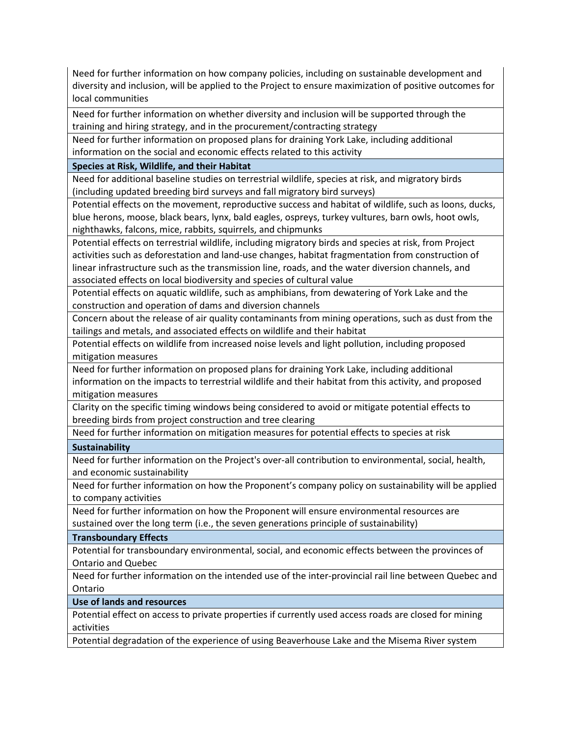Need for further information on how company policies, including on sustainable development and diversity and inclusion, will be applied to the Project to ensure maximization of positive outcomes for local communities

Need for further information on whether diversity and inclusion will be supported through the training and hiring strategy, and in the procurement/contracting strategy

Need for further information on proposed plans for draining York Lake, including additional information on the social and economic effects related to this activity

**Species at Risk, Wildlife, and their Habitat** 

Need for additional baseline studies on terrestrial wildlife, species at risk, and migratory birds (including updated breeding bird surveys and fall migratory bird surveys)

Potential effects on the movement, reproductive success and habitat of wildlife, such as loons, ducks, blue herons, moose, black bears, lynx, bald eagles, ospreys, turkey vultures, barn owls, hoot owls, nighthawks, falcons, mice, rabbits, squirrels, and chipmunks

Potential effects on terrestrial wildlife, including migratory birds and species at risk, from Project activities such as deforestation and land-use changes, habitat fragmentation from construction of linear infrastructure such as the transmission line, roads, and the water diversion channels, and associated effects on local biodiversity and species of cultural value

Potential effects on aquatic wildlife, such as amphibians, from dewatering of York Lake and the construction and operation of dams and diversion channels

Concern about the release of air quality contaminants from mining operations, such as dust from the tailings and metals, and associated effects on wildlife and their habitat

Potential effects on wildlife from increased noise levels and light pollution, including proposed mitigation measures

Need for further information on proposed plans for draining York Lake, including additional information on the impacts to terrestrial wildlife and their habitat from this activity, and proposed mitigation measures

Clarity on the specific timing windows being considered to avoid or mitigate potential effects to breeding birds from project construction and tree clearing

Need for further information on mitigation measures for potential effects to species at risk

**Sustainability** 

Need for further information on the Project's over-all contribution to environmental, social, health, and economic sustainability

Need for further information on how the Proponent's company policy on sustainability will be applied to company activities

Need for further information on how the Proponent will ensure environmental resources are sustained over the long term (i.e., the seven generations principle of sustainability)

**Transboundary Effects** 

Potential for transboundary environmental, social, and economic effects between the provinces of Ontario and Quebec

Need for further information on the intended use of the inter-provincial rail line between Quebec and Ontario

**Use of lands and resources** 

Potential effect on access to private properties if currently used access roads are closed for mining activities

Potential degradation of the experience of using Beaverhouse Lake and the Misema River system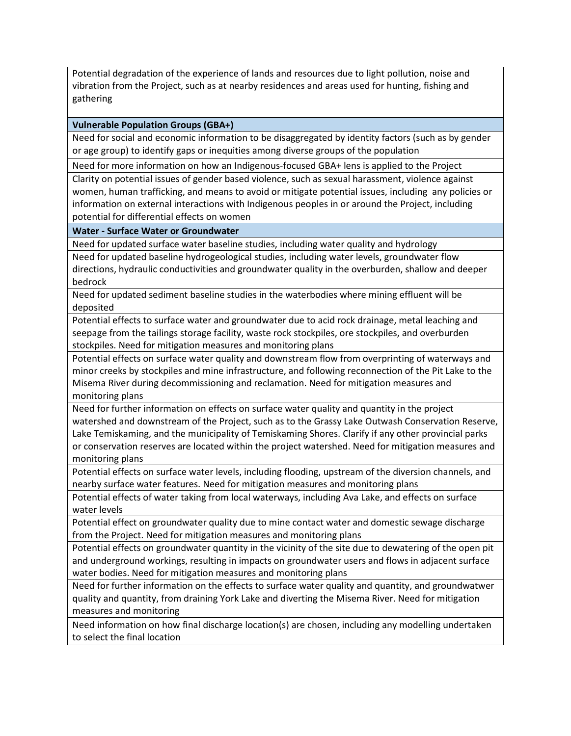Potential degradation of the experience of lands and resources due to light pollution, noise and vibration from the Project, such as at nearby residences and areas used for hunting, fishing and gathering

# **Vulnerable Population Groups (GBA+)**

Need for social and economic information to be disaggregated by identity factors (such as by gender or age group) to identify gaps or inequities among diverse groups of the population

Need for more information on how an Indigenous-focused GBA+ lens is applied to the Project

Clarity on potential issues of gender based violence, such as sexual harassment, violence against women, human trafficking, and means to avoid or mitigate potential issues, including any policies or information on external interactions with Indigenous peoples in or around the Project, including potential for differential effects on women

## **Water - Surface Water or Groundwater**

Need for updated surface water baseline studies, including water quality and hydrology

Need for updated baseline hydrogeological studies, including water levels, groundwater flow directions, hydraulic conductivities and groundwater quality in the overburden, shallow and deeper bedrock

Need for updated sediment baseline studies in the waterbodies where mining effluent will be deposited

Potential effects to surface water and groundwater due to acid rock drainage, metal leaching and seepage from the tailings storage facility, waste rock stockpiles, ore stockpiles, and overburden stockpiles. Need for mitigation measures and monitoring plans

Potential effects on surface water quality and downstream flow from overprinting of waterways and minor creeks by stockpiles and mine infrastructure, and following reconnection of the Pit Lake to the Misema River during decommissioning and reclamation. Need for mitigation measures and monitoring plans

Need for further information on effects on surface water quality and quantity in the project watershed and downstream of the Project, such as to the Grassy Lake Outwash Conservation Reserve, Lake Temiskaming, and the municipality of Temiskaming Shores. Clarify if any other provincial parks or conservation reserves are located within the project watershed. Need for mitigation measures and monitoring plans

Potential effects on surface water levels, including flooding, upstream of the diversion channels, and nearby surface water features. Need for mitigation measures and monitoring plans

Potential effects of water taking from local waterways, including Ava Lake, and effects on surface water levels

Potential effect on groundwater quality due to mine contact water and domestic sewage discharge from the Project. Need for mitigation measures and monitoring plans

Potential effects on groundwater quantity in the vicinity of the site due to dewatering of the open pit and underground workings, resulting in impacts on groundwater users and flows in adjacent surface water bodies. Need for mitigation measures and monitoring plans

Need for further information on the effects to surface water quality and quantity, and groundwatwer quality and quantity, from draining York Lake and diverting the Misema River. Need for mitigation measures and monitoring

Need information on how final discharge location(s) are chosen, including any modelling undertaken to select the final location